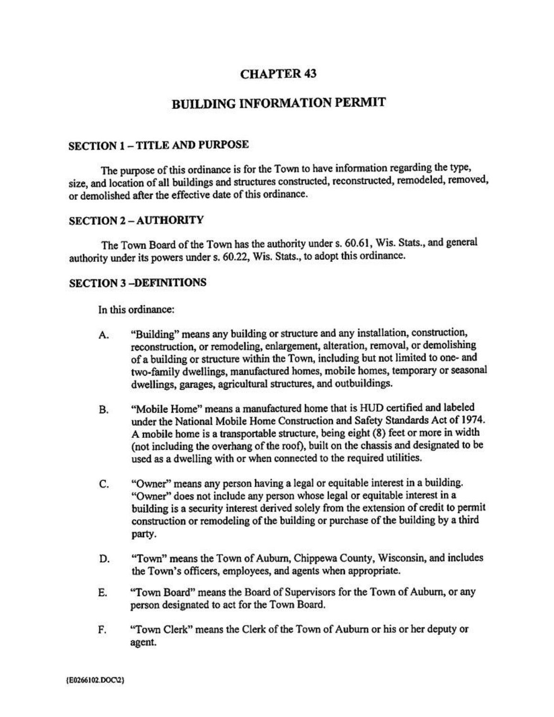# **CHAPTER 43**

# **BUILDING INFORMATION PERMIT**

## **SECTION 1-TITLE AND PURPOSE**

The purpose of this ordinance is for the Town to have information regarding the type, size, and location of all buildings and structures constructed, reconstructed, remodeled, removed, or demolished after the effective date of this ordinance.

#### **SECTION 2-AUTHORITY**

The Town Board of the Town has the authority under s. 60.61, Wis. Stats., and general authority under its powers under s. 60.22, Wis. Stats., to adopt this ordinance.

#### **SECTION 3-DEFINITIONS**

In this ordinance:

- "Building" means any building or structure and any installation, construction, A. reconstruction, or remodeling, enlargement, alteration, removal, or demolishing of a building or structure within the Town, including but not limited to one- and two-family dwellings, manufactured homes, mobile homes, temporary or seasonal dwellings, garages, agricultural structures, and outbuildings.
- "Mobile Home" means a manufactured home that is HUD certified and labeled **B.** under the National Mobile Home Construction and Safety Standards Act of 1974. A mobile home is a transportable structure, being eight (8) feet or more in width (not including the overhang of the roof), built on the chassis and designated to be used as a dwelling with or when connected to the required utilities.
- "Owner" means any person having a legal or equitable interest in a building. C. "Owner" does not include any person whose legal or equitable interest in a building is a security interest derived solely from the extension of credit to permit construction or remodeling of the building or purchase of the building by a third party.
- "Town" means the Town of Auburn, Chippewa County, Wisconsin, and includes D. the Town's officers, employees, and agents when appropriate.
- E. "Town Board" means the Board of Supervisors for the Town of Auburn, or any person designated to act for the Town Board.
- F. "Town Clerk" means the Clerk of the Town of Auburn or his or her deputy or agent.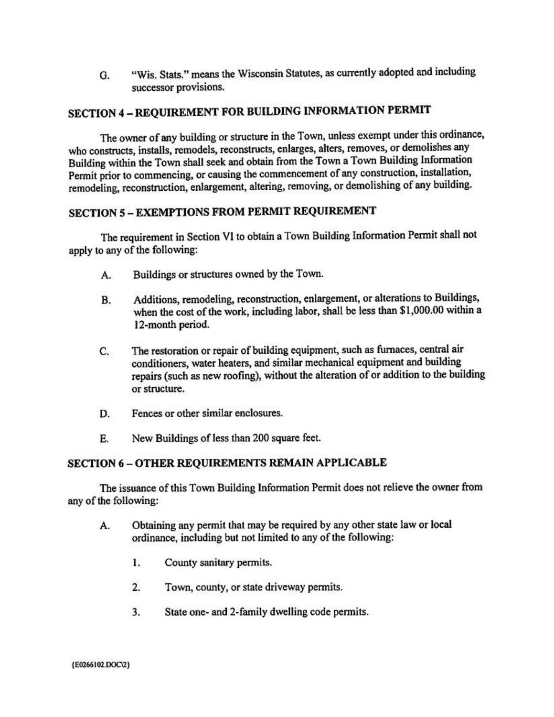"Wis. Stats." means the Wisconsin Statutes, as currently adopted and including G. successor provisions.

# SECTION 4 - REQUIREMENT FOR BUILDING INFORMATION PERMIT

The owner of any building or structure in the Town, unless exempt under this ordinance, who constructs, installs, remodels, reconstructs, enlarges, alters, removes, or demolishes any Building within the Town shall seek and obtain from the Town a Town Building Information Permit prior to commencing, or causing the commencement of any construction, installation, remodeling, reconstruction, enlargement, altering, removing, or demolishing of any building.

# **SECTION 5 - EXEMPTIONS FROM PERMIT REQUIREMENT**

The requirement in Section VI to obtain a Town Building Information Permit shall not apply to any of the following:

- Buildings or structures owned by the Town. A.
- Additions, remodeling, reconstruction, enlargement, or alterations to Buildings, **B.** when the cost of the work, including labor, shall be less than \$1,000.00 within a 12-month period.
- The restoration or repair of building equipment, such as furnaces, central air C. conditioners, water heaters, and similar mechanical equipment and building repairs (such as new roofing), without the alteration of or addition to the building or structure.
- Fences or other similar enclosures. D.
- E. New Buildings of less than 200 square feet.

# **SECTION 6-OTHER REQUIREMENTS REMAIN APPLICABLE**

The issuance of this Town Building Information Permit does not relieve the owner from any of the following:

- Obtaining any permit that may be required by any other state law or local A. ordinance, including but not limited to any of the following:
	- 1. County sanitary permits.
	- $2.$ Town, county, or state driveway permits.
	- 3. State one- and 2-family dwelling code permits.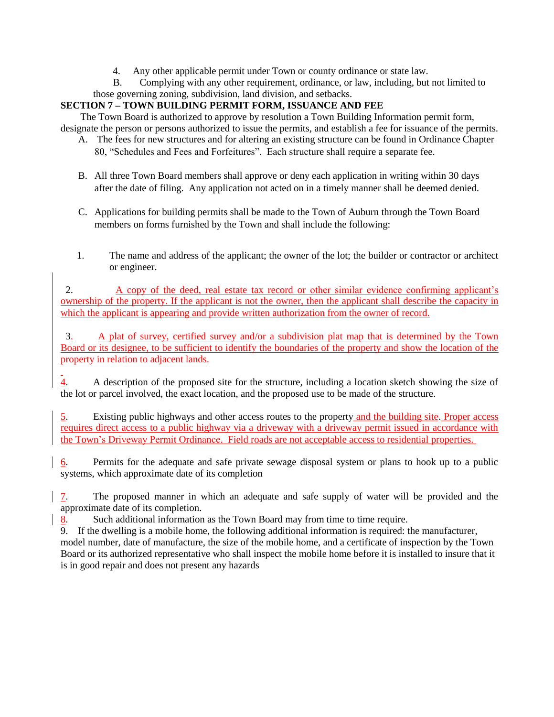4. Any other applicable permit under Town or county ordinance or state law.

 B. Complying with any other requirement, ordinance, or law, including, but not limited to those governing zoning, subdivision, land division, and setbacks.

# **SECTION 7 – TOWN BUILDING PERMIT FORM, ISSUANCE AND FEE**

The Town Board is authorized to approve by resolution a Town Building Information permit form, designate the person or persons authorized to issue the permits, and establish a fee for issuance of the permits.

- A. The fees for new structures and for altering an existing structure can be found in Ordinance Chapter 80, "Schedules and Fees and Forfeitures". Each structure shall require a separate fee.
- B. All three Town Board members shall approve or deny each application in writing within 30 days after the date of filing. Any application not acted on in a timely manner shall be deemed denied.
- C. Applications for building permits shall be made to the Town of Auburn through the Town Board members on forms furnished by the Town and shall include the following:
- 1. The name and address of the applicant; the owner of the lot; the builder or contractor or architect or engineer.

 2. A copy of the deed, real estate tax record or other similar evidence confirming applicant's ownership of the property. If the applicant is not the owner, then the applicant shall describe the capacity in which the applicant is appearing and provide written authorization from the owner of record.

 3. A plat of survey, certified survey and/or a subdivision plat map that is determined by the Town Board or its designee, to be sufficient to identify the boundaries of the property and show the location of the property in relation to adjacent lands.

4. A description of the proposed site for the structure, including a location sketch showing the size of the lot or parcel involved, the exact location, and the proposed use to be made of the structure.

5. Existing public highways and other access routes to the property and the building site. Proper access requires direct access to a public highway via a driveway with a driveway permit issued in accordance with the Town's Driveway Permit Ordinance. Field roads are not acceptable access to residential properties.

6. Permits for the adequate and safe private sewage disposal system or plans to hook up to a public systems, which approximate date of its completion

7. The proposed manner in which an adequate and safe supply of water will be provided and the approximate date of its completion.

8. Such additional information as the Town Board may from time to time require.

9. If the dwelling is a mobile home, the following additional information is required: the manufacturer, model number, date of manufacture, the size of the mobile home, and a certificate of inspection by the Town Board or its authorized representative who shall inspect the mobile home before it is installed to insure that it is in good repair and does not present any hazards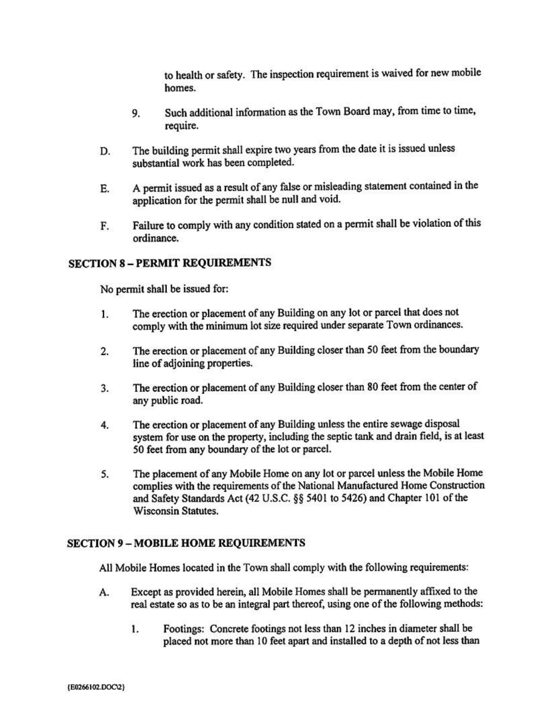to health or safety. The inspection requirement is waived for new mobile homes.

- Such additional information as the Town Board may, from time to time, 9. require.
- The building permit shall expire two years from the date it is issued unless D. substantial work has been completed.
- A permit issued as a result of any false or misleading statement contained in the E. application for the permit shall be null and void.
- Failure to comply with any condition stated on a permit shall be violation of this F. ordinance.

# **SECTION 8 - PERMIT REQUIREMENTS**

No permit shall be issued for:

- The erection or placement of any Building on any lot or parcel that does not 1. comply with the minimum lot size required under separate Town ordinances.
- The erection or placement of any Building closer than 50 feet from the boundary  $2.$ line of adjoining properties.
- The erection or placement of any Building closer than 80 feet from the center of 3. any public road.
- The erection or placement of any Building unless the entire sewage disposal 4. system for use on the property, including the septic tank and drain field, is at least 50 feet from any boundary of the lot or parcel.
- The placement of any Mobile Home on any lot or parcel unless the Mobile Home 5. complies with the requirements of the National Manufactured Home Construction and Safety Standards Act (42 U.S.C. §§ 5401 to 5426) and Chapter 101 of the **Wisconsin Statutes.**

## **SECTION 9 - MOBILE HOME REOUIREMENTS**

All Mobile Homes located in the Town shall comply with the following requirements:

- Except as provided herein, all Mobile Homes shall be permanently affixed to the А. real estate so as to be an integral part thereof, using one of the following methods:
	- Footings: Concrete footings not less than 12 inches in diameter shall be 1. placed not more than 10 feet apart and installed to a depth of not less than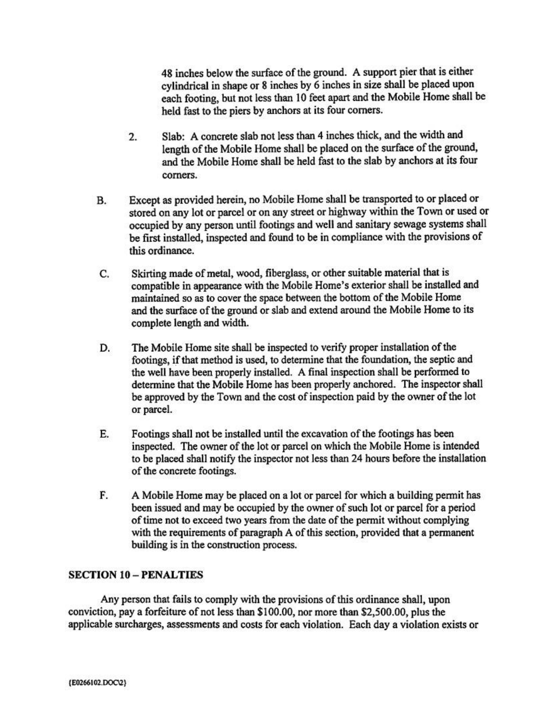48 inches below the surface of the ground. A support pier that is either cylindrical in shape or 8 inches by 6 inches in size shall be placed upon each footing, but not less than 10 feet apart and the Mobile Home shall be held fast to the piers by anchors at its four corners.

- Slab: A concrete slab not less than 4 inches thick, and the width and  $2.$ length of the Mobile Home shall be placed on the surface of the ground, and the Mobile Home shall be held fast to the slab by anchors at its four corners.
- Except as provided herein, no Mobile Home shall be transported to or placed or **B.** stored on any lot or parcel or on any street or highway within the Town or used or occupied by any person until footings and well and sanitary sewage systems shall be first installed, inspected and found to be in compliance with the provisions of this ordinance.
- C. Skirting made of metal, wood, fiberglass, or other suitable material that is compatible in appearance with the Mobile Home's exterior shall be installed and maintained so as to cover the space between the bottom of the Mobile Home and the surface of the ground or slab and extend around the Mobile Home to its complete length and width.
- The Mobile Home site shall be inspected to verify proper installation of the D. footings, if that method is used, to determine that the foundation, the septic and the well have been properly installed. A final inspection shall be performed to determine that the Mobile Home has been properly anchored. The inspector shall be approved by the Town and the cost of inspection paid by the owner of the lot or parcel.
- E. Footings shall not be installed until the excavation of the footings has been inspected. The owner of the lot or parcel on which the Mobile Home is intended to be placed shall notify the inspector not less than 24 hours before the installation of the concrete footings.
- F. A Mobile Home may be placed on a lot or parcel for which a building permit has been issued and may be occupied by the owner of such lot or parcel for a period of time not to exceed two years from the date of the permit without complying with the requirements of paragraph A of this section, provided that a permanent building is in the construction process.

## **SECTION 10 - PENALTIES**

Any person that fails to comply with the provisions of this ordinance shall, upon conviction, pay a forfeiture of not less than \$100.00, nor more than \$2,500.00, plus the applicable surcharges, assessments and costs for each violation. Each day a violation exists or